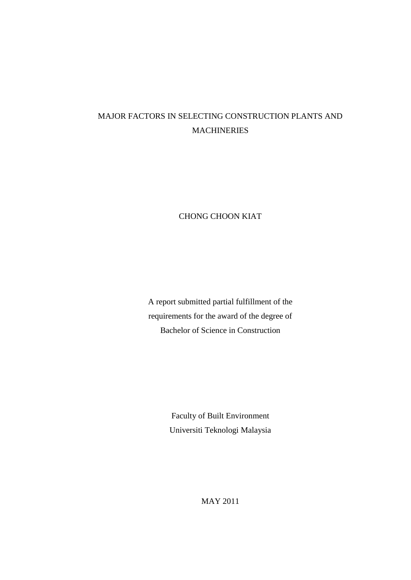# MAJOR FACTORS IN SELECTING CONSTRUCTION PLANTS AND MACHINERIES

# CHONG CHOON KIAT

A report submitted partial fulfillment of the requirements for the award of the degree of Bachelor of Science in Construction

> Faculty of Built Environment Universiti Teknologi Malaysia

> > MAY 2011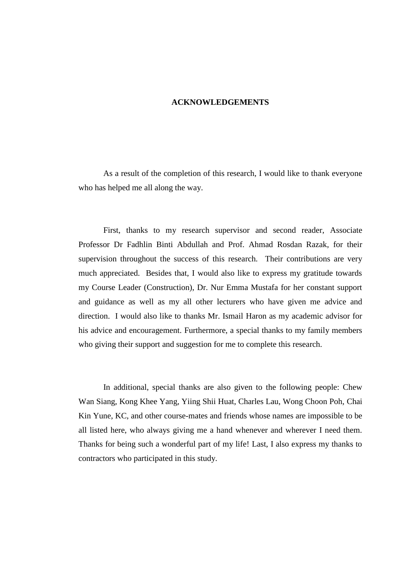## **ACKNOWLEDGEMENTS**

As a result of the completion of this research, I would like to thank everyone who has helped me all along the way.

First, thanks to my research supervisor and second reader, Associate Professor Dr Fadhlin Binti Abdullah and Prof. Ahmad Rosdan Razak, for their supervision throughout the success of this research. Their contributions are very much appreciated. Besides that, I would also like to express my gratitude towards my Course Leader (Construction), Dr. Nur Emma Mustafa for her constant support and guidance as well as my all other lecturers who have given me advice and direction. I would also like to thanks Mr. Ismail Haron as my academic advisor for his advice and encouragement. Furthermore, a special thanks to my family members who giving their support and suggestion for me to complete this research.

In additional, special thanks are also given to the following people: Chew Wan Siang, Kong Khee Yang, Yiing Shii Huat, Charles Lau, Wong Choon Poh, Chai Kin Yune, KC, and other course-mates and friends whose names are impossible to be all listed here, who always giving me a hand whenever and wherever I need them. Thanks for being such a wonderful part of my life! Last, I also express my thanks to contractors who participated in this study.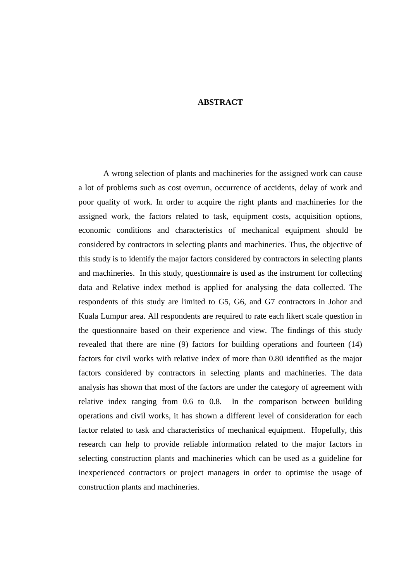### **ABSTRACT**

A wrong selection of plants and machineries for the assigned work can cause a lot of problems such as cost overrun, occurrence of accidents, delay of work and poor quality of work. In order to acquire the right plants and machineries for the assigned work, the factors related to task, equipment costs, acquisition options, economic conditions and characteristics of mechanical equipment should be considered by contractors in selecting plants and machineries. Thus, the objective of this study is to identify the major factors considered by contractors in selecting plants and machineries. In this study, questionnaire is used as the instrument for collecting data and Relative index method is applied for analysing the data collected. The respondents of this study are limited to G5, G6, and G7 contractors in Johor and Kuala Lumpur area. All respondents are required to rate each likert scale question in the questionnaire based on their experience and view. The findings of this study revealed that there are nine (9) factors for building operations and fourteen (14) factors for civil works with relative index of more than 0.80 identified as the major factors considered by contractors in selecting plants and machineries. The data analysis has shown that most of the factors are under the category of agreement with relative index ranging from 0.6 to 0.8. In the comparison between building operations and civil works, it has shown a different level of consideration for each factor related to task and characteristics of mechanical equipment. Hopefully, this research can help to provide reliable information related to the major factors in selecting construction plants and machineries which can be used as a guideline for inexperienced contractors or project managers in order to optimise the usage of construction plants and machineries.